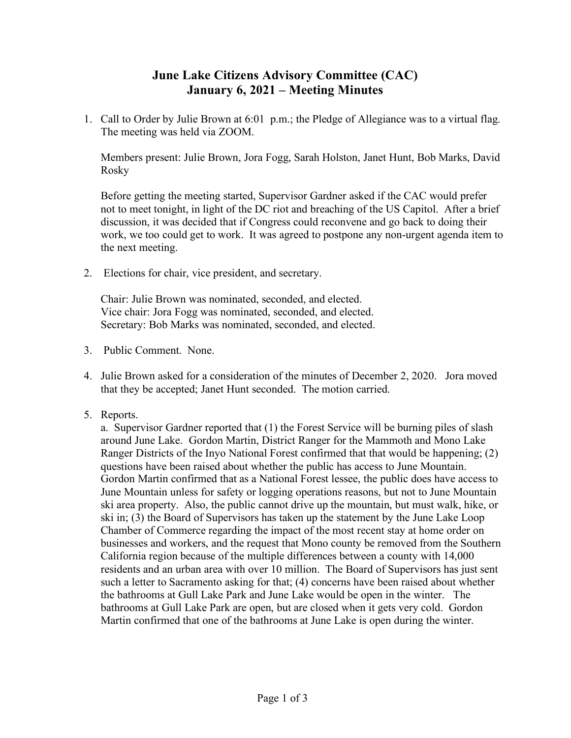## **June Lake Citizens Advisory Committee (CAC) January 6, 2021 – Meeting Minutes**

1. Call to Order by Julie Brown at 6:01 p.m.; the Pledge of Allegiance was to a virtual flag. The meeting was held via ZOOM.

Members present: Julie Brown, Jora Fogg, Sarah Holston, Janet Hunt, Bob Marks, David Rosky

Before getting the meeting started, Supervisor Gardner asked if the CAC would prefer not to meet tonight, in light of the DC riot and breaching of the US Capitol. After a brief discussion, it was decided that if Congress could reconvene and go back to doing their work, we too could get to work. It was agreed to postpone any non-urgent agenda item to the next meeting.

2. Elections for chair, vice president, and secretary.

Chair: Julie Brown was nominated, seconded, and elected. Vice chair: Jora Fogg was nominated, seconded, and elected. Secretary: Bob Marks was nominated, seconded, and elected.

- 3. Public Comment. None.
- 4. Julie Brown asked for a consideration of the minutes of December 2, 2020. Jora moved that they be accepted; Janet Hunt seconded. The motion carried.
- 5. Reports.

a. Supervisor Gardner reported that (1) the Forest Service will be burning piles of slash around June Lake. Gordon Martin, District Ranger for the Mammoth and Mono Lake Ranger Districts of the Inyo National Forest confirmed that that would be happening; (2) questions have been raised about whether the public has access to June Mountain. Gordon Martin confirmed that as a National Forest lessee, the public does have access to June Mountain unless for safety or logging operations reasons, but not to June Mountain ski area property. Also, the public cannot drive up the mountain, but must walk, hike, or ski in; (3) the Board of Supervisors has taken up the statement by the June Lake Loop Chamber of Commerce regarding the impact of the most recent stay at home order on businesses and workers, and the request that Mono county be removed from the Southern California region because of the multiple differences between a county with 14,000 residents and an urban area with over 10 million. The Board of Supervisors has just sent such a letter to Sacramento asking for that; (4) concerns have been raised about whether the bathrooms at Gull Lake Park and June Lake would be open in the winter. The bathrooms at Gull Lake Park are open, but are closed when it gets very cold. Gordon Martin confirmed that one of the bathrooms at June Lake is open during the winter.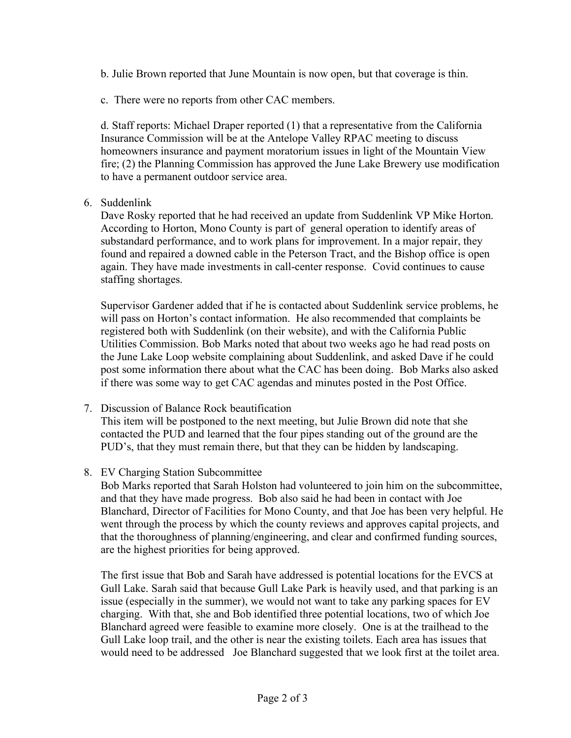- b. Julie Brown reported that June Mountain is now open, but that coverage is thin.
- c. There were no reports from other CAC members.

d. Staff reports: Michael Draper reported (1) that a representative from the California Insurance Commission will be at the Antelope Valley RPAC meeting to discuss homeowners insurance and payment moratorium issues in light of the Mountain View fire; (2) the Planning Commission has approved the June Lake Brewery use modification to have a permanent outdoor service area.

6. Suddenlink

Dave Rosky reported that he had received an update from Suddenlink VP Mike Horton. According to Horton, Mono County is part of general operation to identify areas of substandard performance, and to work plans for improvement. In a major repair, they found and repaired a downed cable in the Peterson Tract, and the Bishop office is open again. They have made investments in call-center response. Covid continues to cause staffing shortages.

Supervisor Gardener added that if he is contacted about Suddenlink service problems, he will pass on Horton's contact information. He also recommended that complaints be registered both with Suddenlink (on their website), and with the California Public Utilities Commission. Bob Marks noted that about two weeks ago he had read posts on the June Lake Loop website complaining about Suddenlink, and asked Dave if he could post some information there about what the CAC has been doing. Bob Marks also asked if there was some way to get CAC agendas and minutes posted in the Post Office.

7. Discussion of Balance Rock beautification

This item will be postponed to the next meeting, but Julie Brown did note that she contacted the PUD and learned that the four pipes standing out of the ground are the PUD's, that they must remain there, but that they can be hidden by landscaping.

8. EV Charging Station Subcommittee

Bob Marks reported that Sarah Holston had volunteered to join him on the subcommittee, and that they have made progress. Bob also said he had been in contact with Joe Blanchard, Director of Facilities for Mono County, and that Joe has been very helpful. He went through the process by which the county reviews and approves capital projects, and that the thoroughness of planning/engineering, and clear and confirmed funding sources, are the highest priorities for being approved.

The first issue that Bob and Sarah have addressed is potential locations for the EVCS at Gull Lake. Sarah said that because Gull Lake Park is heavily used, and that parking is an issue (especially in the summer), we would not want to take any parking spaces for EV charging. With that, she and Bob identified three potential locations, two of which Joe Blanchard agreed were feasible to examine more closely. One is at the trailhead to the Gull Lake loop trail, and the other is near the existing toilets. Each area has issues that would need to be addressed Joe Blanchard suggested that we look first at the toilet area.